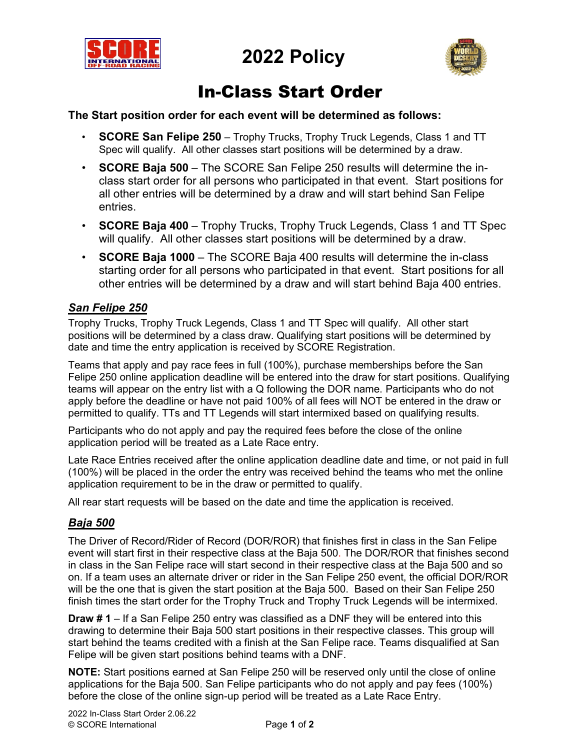



# In-Class Start Order

### **The Start position order for each event will be determined as follows:**

- **SCORE San Felipe 250** Trophy Trucks, Trophy Truck Legends, Class 1 and TT Spec will qualify. All other classes start positions will be determined by a draw.
- **SCORE Baja 500** The SCORE San Felipe 250 results will determine the inclass start order for all persons who participated in that event. Start positions for all other entries will be determined by a draw and will start behind San Felipe entries.
- **SCORE Baja 400** Trophy Trucks, Trophy Truck Legends, Class 1 and TT Spec will qualify. All other classes start positions will be determined by a draw.
- **SCORE Baja 1000** The SCORE Baja 400 results will determine the in-class starting order for all persons who participated in that event. Start positions for all other entries will be determined by a draw and will start behind Baja 400 entries.

## *San Felipe 250*

Trophy Trucks, Trophy Truck Legends, Class 1 and TT Spec will qualify. All other start positions will be determined by a class draw. Qualifying start positions will be determined by date and time the entry application is received by SCORE Registration.

Teams that apply and pay race fees in full (100%), purchase memberships before the San Felipe 250 online application deadline will be entered into the draw for start positions. Qualifying teams will appear on the entry list with a Q following the DOR name. Participants who do not apply before the deadline or have not paid 100% of all fees will NOT be entered in the draw or permitted to qualify. TTs and TT Legends will start intermixed based on qualifying results.

Participants who do not apply and pay the required fees before the close of the online application period will be treated as a Late Race entry.

Late Race Entries received after the online application deadline date and time, or not paid in full (100%) will be placed in the order the entry was received behind the teams who met the online application requirement to be in the draw or permitted to qualify.

All rear start requests will be based on the date and time the application is received.

## *Baja 500*

The Driver of Record/Rider of Record (DOR/ROR) that finishes first in class in the San Felipe event will start first in their respective class at the Baja 500. The DOR/ROR that finishes second in class in the San Felipe race will start second in their respective class at the Baja 500 and so on. If a team uses an alternate driver or rider in the San Felipe 250 event, the official DOR/ROR will be the one that is given the start position at the Baja 500. Based on their San Felipe 250 finish times the start order for the Trophy Truck and Trophy Truck Legends will be intermixed.

**Draw # 1** – If a San Felipe 250 entry was classified as a DNF they will be entered into this drawing to determine their Baja 500 start positions in their respective classes. This group will start behind the teams credited with a finish at the San Felipe race. Teams disqualified at San Felipe will be given start positions behind teams with a DNF.

**NOTE:** Start positions earned at San Felipe 250 will be reserved only until the close of online applications for the Baja 500. San Felipe participants who do not apply and pay fees (100%) before the close of the online sign-up period will be treated as a Late Race Entry.